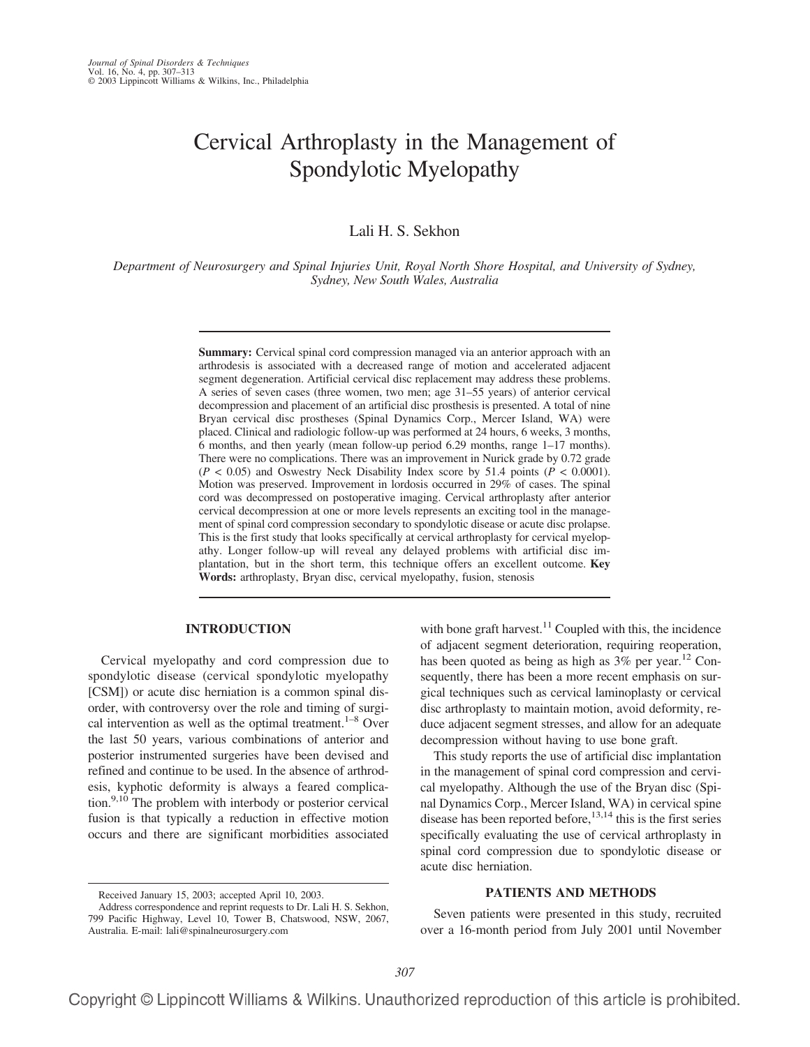# Cervical Arthroplasty in the Management of Spondylotic Myelopathy

# Lali H. S. Sekhon

*Department of Neurosurgery and Spinal Injuries Unit, Royal North Shore Hospital, and University of Sydney, Sydney, New South Wales, Australia*

> **Summary:** Cervical spinal cord compression managed via an anterior approach with an arthrodesis is associated with a decreased range of motion and accelerated adjacent segment degeneration. Artificial cervical disc replacement may address these problems. A series of seven cases (three women, two men; age 31–55 years) of anterior cervical decompression and placement of an artificial disc prosthesis is presented. A total of nine Bryan cervical disc prostheses (Spinal Dynamics Corp., Mercer Island, WA) were placed. Clinical and radiologic follow-up was performed at 24 hours, 6 weeks, 3 months, 6 months, and then yearly (mean follow-up period 6.29 months, range 1–17 months). There were no complications. There was an improvement in Nurick grade by 0.72 grade  $(P < 0.05)$  and Oswestry Neck Disability Index score by 51.4 points  $(P < 0.0001)$ . Motion was preserved. Improvement in lordosis occurred in 29% of cases. The spinal cord was decompressed on postoperative imaging. Cervical arthroplasty after anterior cervical decompression at one or more levels represents an exciting tool in the management of spinal cord compression secondary to spondylotic disease or acute disc prolapse. This is the first study that looks specifically at cervical arthroplasty for cervical myelopathy. Longer follow-up will reveal any delayed problems with artificial disc implantation, but in the short term, this technique offers an excellent outcome. **Key Words:** arthroplasty, Bryan disc, cervical myelopathy, fusion, stenosis

## **INTRODUCTION**

Cervical myelopathy and cord compression due to spondylotic disease (cervical spondylotic myelopathy [CSM]) or acute disc herniation is a common spinal disorder, with controversy over the role and timing of surgical intervention as well as the optimal treatment.<sup>1–8</sup> Over the last 50 years, various combinations of anterior and posterior instrumented surgeries have been devised and refined and continue to be used. In the absence of arthrodesis, kyphotic deformity is always a feared complication.<sup>9,10</sup> The problem with interbody or posterior cervical fusion is that typically a reduction in effective motion occurs and there are significant morbidities associated

with bone graft harvest. $11$  Coupled with this, the incidence of adjacent segment deterioration, requiring reoperation, has been quoted as being as high as  $3\%$  per year.<sup>12</sup> Consequently, there has been a more recent emphasis on surgical techniques such as cervical laminoplasty or cervical disc arthroplasty to maintain motion, avoid deformity, reduce adjacent segment stresses, and allow for an adequate decompression without having to use bone graft.

This study reports the use of artificial disc implantation in the management of spinal cord compression and cervical myelopathy. Although the use of the Bryan disc (Spinal Dynamics Corp., Mercer Island, WA) in cervical spine disease has been reported before,  $13,14$  this is the first series specifically evaluating the use of cervical arthroplasty in spinal cord compression due to spondylotic disease or acute disc herniation.

## **PATIENTS AND METHODS**

Seven patients were presented in this study, recruited over a 16-month period from July 2001 until November

Received January 15, 2003; accepted April 10, 2003.

Address correspondence and reprint requests to Dr. Lali H. S. Sekhon, 799 Pacific Highway, Level 10, Tower B, Chatswood, NSW, 2067, Australia. E-mail: lali@spinalneurosurgery.com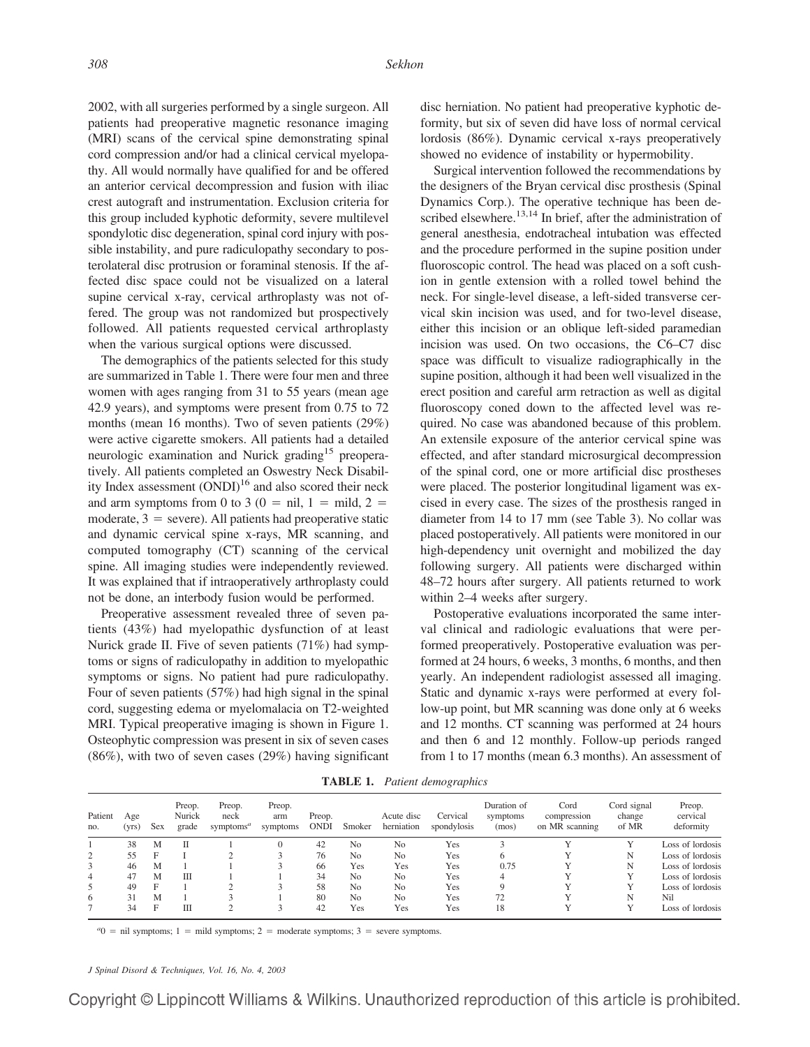2002, with all surgeries performed by a single surgeon. All patients had preoperative magnetic resonance imaging (MRI) scans of the cervical spine demonstrating spinal cord compression and/or had a clinical cervical myelopathy. All would normally have qualified for and be offered an anterior cervical decompression and fusion with iliac crest autograft and instrumentation. Exclusion criteria for this group included kyphotic deformity, severe multilevel spondylotic disc degeneration, spinal cord injury with possible instability, and pure radiculopathy secondary to posterolateral disc protrusion or foraminal stenosis. If the affected disc space could not be visualized on a lateral supine cervical x-ray, cervical arthroplasty was not offered. The group was not randomized but prospectively followed. All patients requested cervical arthroplasty when the various surgical options were discussed.

The demographics of the patients selected for this study are summarized in Table 1. There were four men and three women with ages ranging from 31 to 55 years (mean age 42.9 years), and symptoms were present from 0.75 to 72 months (mean 16 months). Two of seven patients (29%) were active cigarette smokers. All patients had a detailed neurologic examination and Nurick grading<sup>15</sup> preoperatively. All patients completed an Oswestry Neck Disability Index assessment  $(ONDI)^{16}$  and also scored their neck and arm symptoms from 0 to 3 (0 = nil, 1 = mild, 2 = moderate,  $3$  = severe). All patients had preoperative static and dynamic cervical spine x-rays, MR scanning, and computed tomography (CT) scanning of the cervical spine. All imaging studies were independently reviewed. It was explained that if intraoperatively arthroplasty could not be done, an interbody fusion would be performed.

Preoperative assessment revealed three of seven patients (43%) had myelopathic dysfunction of at least Nurick grade II. Five of seven patients (71%) had symptoms or signs of radiculopathy in addition to myelopathic symptoms or signs. No patient had pure radiculopathy. Four of seven patients (57%) had high signal in the spinal cord, suggesting edema or myelomalacia on T2-weighted MRI. Typical preoperative imaging is shown in Figure 1. Osteophytic compression was present in six of seven cases (86%), with two of seven cases (29%) having significant

disc herniation. No patient had preoperative kyphotic deformity, but six of seven did have loss of normal cervical lordosis (86%). Dynamic cervical x-rays preoperatively showed no evidence of instability or hypermobility.

Surgical intervention followed the recommendations by the designers of the Bryan cervical disc prosthesis (Spinal Dynamics Corp.). The operative technique has been described elsewhere.<sup>13,14</sup> In brief, after the administration of general anesthesia, endotracheal intubation was effected and the procedure performed in the supine position under fluoroscopic control. The head was placed on a soft cushion in gentle extension with a rolled towel behind the neck. For single-level disease, a left-sided transverse cervical skin incision was used, and for two-level disease, either this incision or an oblique left-sided paramedian incision was used. On two occasions, the C6–C7 disc space was difficult to visualize radiographically in the supine position, although it had been well visualized in the erect position and careful arm retraction as well as digital fluoroscopy coned down to the affected level was required. No case was abandoned because of this problem. An extensile exposure of the anterior cervical spine was effected, and after standard microsurgical decompression of the spinal cord, one or more artificial disc prostheses were placed. The posterior longitudinal ligament was excised in every case. The sizes of the prosthesis ranged in diameter from 14 to 17 mm (see Table 3). No collar was placed postoperatively. All patients were monitored in our high-dependency unit overnight and mobilized the day following surgery. All patients were discharged within 48–72 hours after surgery. All patients returned to work within 2–4 weeks after surgery.

Postoperative evaluations incorporated the same interval clinical and radiologic evaluations that were performed preoperatively. Postoperative evaluation was performed at 24 hours, 6 weeks, 3 months, 6 months, and then yearly. An independent radiologist assessed all imaging. Static and dynamic x-rays were performed at every follow-up point, but MR scanning was done only at 6 weeks and 12 months. CT scanning was performed at 24 hours and then 6 and 12 monthly. Follow-up periods ranged from 1 to 17 months (mean 6.3 months). An assessment of

**TABLE 1.** *Patient demographics*

| Patient<br>no. | Age<br>(yrs) | <b>Sex</b> | Preop.<br>Nurick<br>grade | Preop.<br>neck<br>symptoms <sup>a</sup> | Preop.<br>arm<br>symptoms | Preop.<br><b>ONDI</b> | Smoker         | Acute disc<br>herniation | Cervical<br>spondylosis | Duration of<br>symptoms<br>(mos) | Cord<br>compression<br>on MR scanning | Cord signal<br>change<br>of MR | Preop.<br>cervical<br>deformity |
|----------------|--------------|------------|---------------------------|-----------------------------------------|---------------------------|-----------------------|----------------|--------------------------|-------------------------|----------------------------------|---------------------------------------|--------------------------------|---------------------------------|
|                | 38           | M          | П                         |                                         |                           | 42                    | N <sub>0</sub> | No                       | Yes                     |                                  |                                       |                                | Loss of lordosis                |
|                | 55           | F          |                           |                                         |                           | 76                    | No             | No                       | Yes                     |                                  |                                       | N                              | Loss of lordosis                |
| 3              | 46           | M          |                           |                                         |                           | 66                    | Yes            | Yes                      | Yes                     | 0.75                             |                                       | N                              | Loss of lordosis                |
| 4              | 47           | M          | Ш                         |                                         |                           | 34                    | N <sub>0</sub> | No                       | Yes                     |                                  |                                       |                                | Loss of lordosis                |
|                | 49           | F          |                           |                                         |                           | 58                    | N <sub>0</sub> | N <sub>0</sub>           | Yes                     |                                  |                                       |                                | Loss of lordosis                |
| 6              | 31           | M          |                           |                                         |                           | 80                    | N <sub>0</sub> | N <sub>0</sub>           | Yes                     | 72                               |                                       | N                              | Nil                             |
|                | 34           | F          | Ш                         |                                         |                           | 42                    | Yes            | Yes                      | Yes                     | 18                               |                                       |                                | Loss of lordosis                |

 $a_0$  = nil symptoms; 1 = mild symptoms; 2 = moderate symptoms; 3 = severe symptoms.

*J Spinal Disord & Techniques, Vol. 16, No. 4, 2003*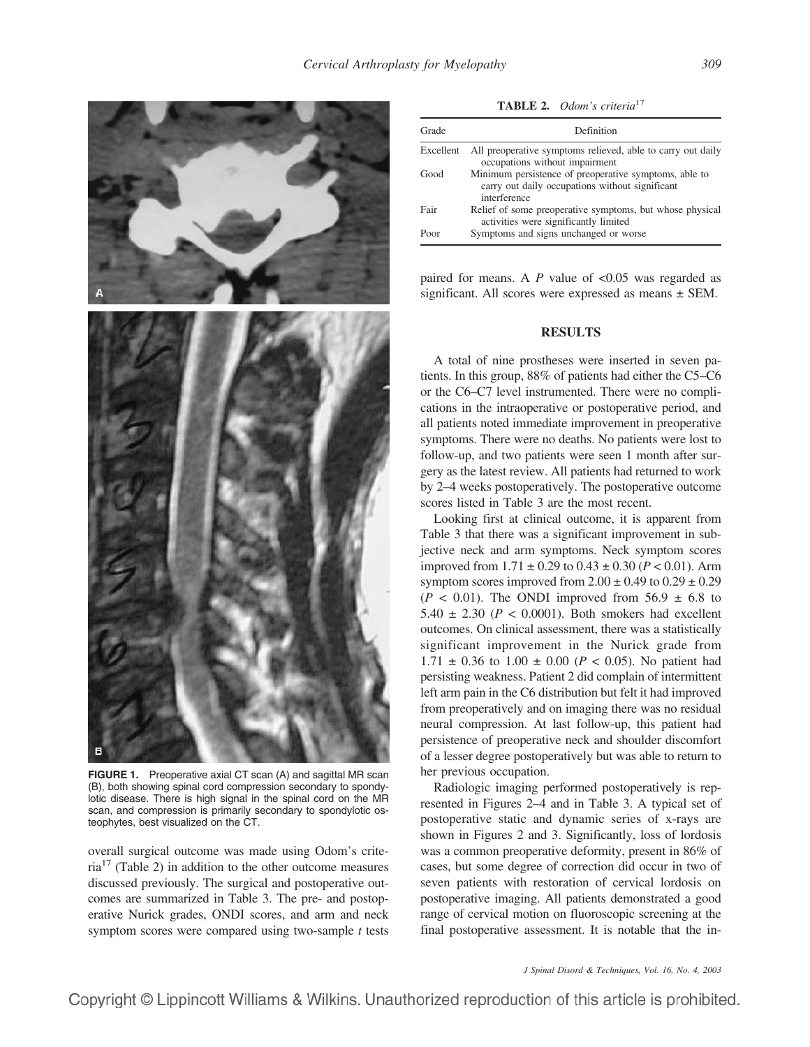

**FIGURE 1.** Preoperative axial CT scan (A) and sagittal MR scan (B), both showing spinal cord compression secondary to spondylotic disease. There is high signal in the spinal cord on the MR scan, and compression is primarily secondary to spondylotic osteophytes, best visualized on the CT.

overall surgical outcome was made using Odom's crite $ria<sup>17</sup>$  (Table 2) in addition to the other outcome measures discussed previously. The surgical and postoperative outcomes are summarized in Table 3. The pre- and postoperative Nurick grades, ONDI scores, and arm and neck symptom scores were compared using two-sample *t* tests

**TABLE 2.** *Odom's criteria*<sup>17</sup>

| Grade     | Definition                                                                                                               |
|-----------|--------------------------------------------------------------------------------------------------------------------------|
| Excellent | All preoperative symptoms relieved, able to carry out daily<br>occupations without impairment                            |
| Good      | Minimum persistence of preoperative symptoms, able to<br>carry out daily occupations without significant<br>interference |
| Fair      | Relief of some preoperative symptoms, but whose physical<br>activities were significantly limited                        |
| Poor      | Symptoms and signs unchanged or worse                                                                                    |

paired for means. A *P* value of <0.05 was regarded as significant. All scores were expressed as means ± SEM.

#### **RESULTS**

A total of nine prostheses were inserted in seven patients. In this group, 88% of patients had either the C5–C6 or the C6–C7 level instrumented. There were no complications in the intraoperative or postoperative period, and all patients noted immediate improvement in preoperative symptoms. There were no deaths. No patients were lost to follow-up, and two patients were seen 1 month after surgery as the latest review. All patients had returned to work by 2–4 weeks postoperatively. The postoperative outcome scores listed in Table 3 are the most recent.

Looking first at clinical outcome, it is apparent from Table 3 that there was a significant improvement in subjective neck and arm symptoms. Neck symptom scores improved from  $1.71 \pm 0.29$  to  $0.43 \pm 0.30$  ( $P < 0.01$ ). Arm symptom scores improved from  $2.00 \pm 0.49$  to  $0.29 \pm 0.29$  $(P < 0.01)$ . The ONDI improved from 56.9  $\pm$  6.8 to 5.40  $\pm$  2.30 ( $P < 0.0001$ ). Both smokers had excellent outcomes. On clinical assessment, there was a statistically significant improvement in the Nurick grade from 1.71  $\pm$  0.36 to 1.00  $\pm$  0.00 (*P* < 0.05). No patient had persisting weakness. Patient 2 did complain of intermittent left arm pain in the C6 distribution but felt it had improved from preoperatively and on imaging there was no residual neural compression. At last follow-up, this patient had persistence of preoperative neck and shoulder discomfort of a lesser degree postoperatively but was able to return to her previous occupation.

Radiologic imaging performed postoperatively is represented in Figures 2–4 and in Table 3. A typical set of postoperative static and dynamic series of x-rays are shown in Figures 2 and 3. Significantly, loss of lordosis was a common preoperative deformity, present in 86% of cases, but some degree of correction did occur in two of seven patients with restoration of cervical lordosis on postoperative imaging. All patients demonstrated a good range of cervical motion on fluoroscopic screening at the final postoperative assessment. It is notable that the in-

*J Spinal Disord & Techniques, Vol. 16, No. 4, 2003*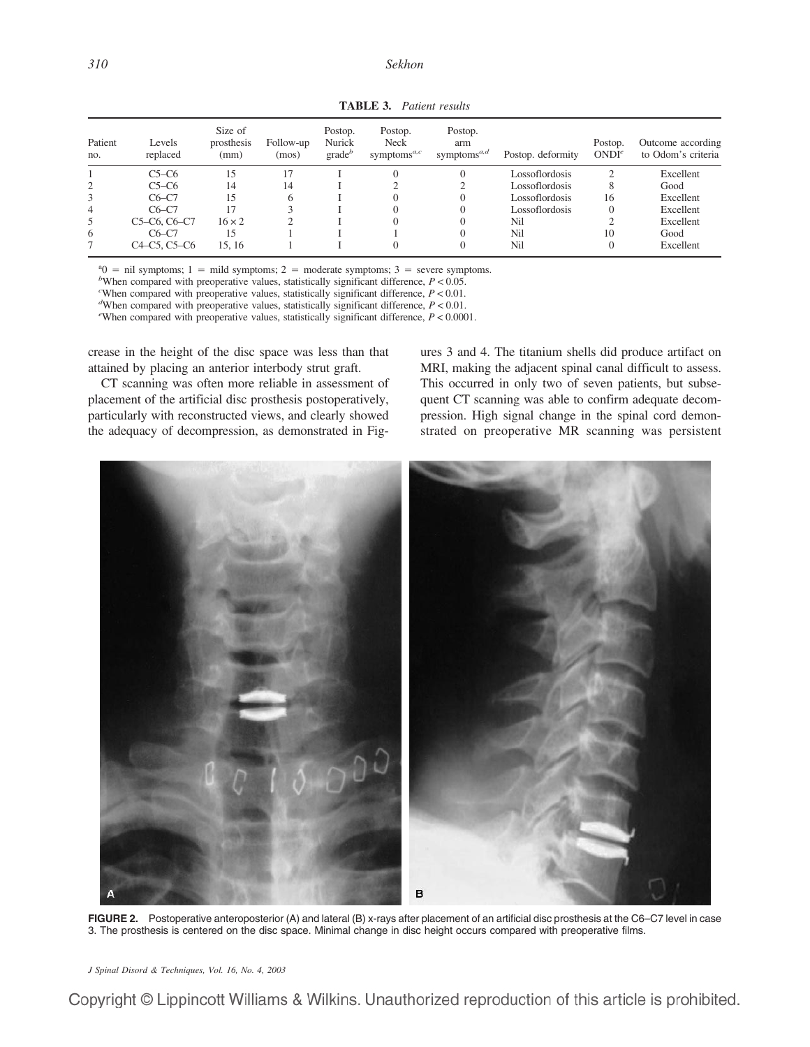| Patient<br>no. | Levels<br>replaced                                              | Size of<br>prosthesis<br>(mm) | Follow-up<br>(mos) | Postop.<br>Nurick<br>$grade^b$ | Postop.<br><b>Neck</b><br>symptoms $a, c$ | Postop.<br>arm<br>symptoms <sup><i>a</i>,<i>d</i></sup> | Postop. deformity | Postop.<br>ONDI <sup>e</sup> | Outcome according<br>to Odom's criteria |
|----------------|-----------------------------------------------------------------|-------------------------------|--------------------|--------------------------------|-------------------------------------------|---------------------------------------------------------|-------------------|------------------------------|-----------------------------------------|
|                | $C5-C6$                                                         | 15                            |                    |                                | $\theta$                                  |                                                         | Lossoflordosis    |                              | Excellent                               |
|                | $C5-C6$                                                         | 14                            | 14                 |                                |                                           |                                                         | Lossoflordosis    | 8                            | Good                                    |
| 3              | $C6-C7$                                                         | 15                            | 6                  |                                | $\Omega$                                  |                                                         | Lossoflordosis    | 16                           | Excellent                               |
| 4              | $C6-C7$                                                         |                               |                    |                                | $\Omega$                                  |                                                         | Lossoflordosis    | $\Omega$                     | Excellent                               |
| 5              | C5-C6, C6-C7                                                    | $16 \times 2$                 |                    |                                |                                           |                                                         | Nil               |                              | Excellent                               |
| 6              | $C6-C7$                                                         | 15                            |                    |                                |                                           |                                                         | Nil               | 10                           | Good                                    |
|                | C <sub>4</sub> -C <sub>5</sub> , C <sub>5</sub> -C <sub>6</sub> | 15.16                         |                    |                                |                                           |                                                         | Nil               |                              | Excellent                               |

**TABLE 3.** *Patient results*

<sup>a</sup> $0 = \text{nil}$  symptoms; 1 = mild symptoms; 2 = moderate symptoms; 3 = severe symptoms. *b*When compared with preoperative values, statistically significant difference  $P > 0.05$ 

<sup>*b*</sup>When compared with preoperative values, statistically significant difference,  $P < 0.05$ .

When compared with preoperative values, statistically significant difference,  $P < 0.01$ .

When compared with preoperative values, statistically significant difference,  $P < 0.01$ .

<sup>e</sup>When compared with preoperative values, statistically significant difference,  $P < 0.0001$ .

crease in the height of the disc space was less than that attained by placing an anterior interbody strut graft.

CT scanning was often more reliable in assessment of placement of the artificial disc prosthesis postoperatively, particularly with reconstructed views, and clearly showed the adequacy of decompression, as demonstrated in Figures 3 and 4. The titanium shells did produce artifact on MRI, making the adjacent spinal canal difficult to assess. This occurred in only two of seven patients, but subsequent CT scanning was able to confirm adequate decompression. High signal change in the spinal cord demonstrated on preoperative MR scanning was persistent



FIGURE 2. Postoperative anteroposterior (A) and lateral (B) x-rays after placement of an artificial disc prosthesis at the C6–C7 level in case 3. The prosthesis is centered on the disc space. Minimal change in disc height occurs compared with preoperative films.

*J Spinal Disord & Techniques, Vol. 16, No. 4, 2003*

Copyright © Lippincott Williams & Wilkins. Unauthorized reproduction of this article is prohibited.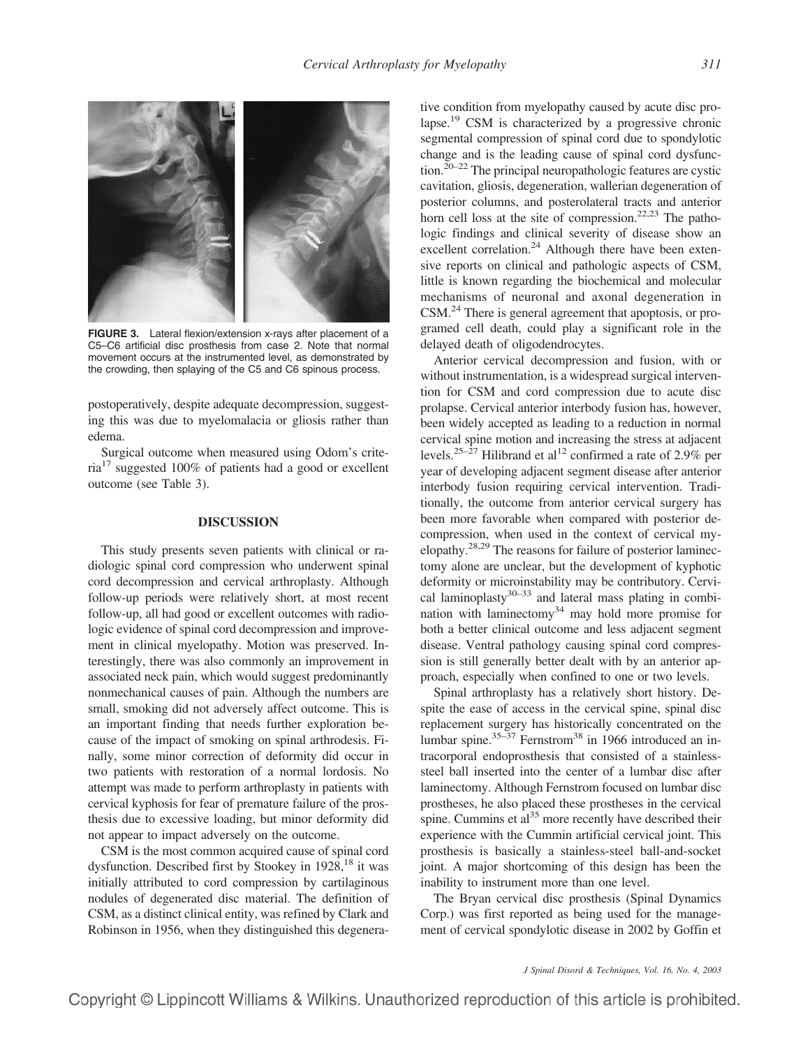

**FIGURE 3.** Lateral flexion/extension x-rays after placement of a C5–C6 artificial disc prosthesis from case 2. Note that normal movement occurs at the instrumented level, as demonstrated by the crowding, then splaying of the C5 and C6 spinous process.

postoperatively, despite adequate decompression, suggesting this was due to myelomalacia or gliosis rather than edema.

Surgical outcome when measured using Odom's crite $ria<sup>17</sup> suggested 100\% of patients had a good or excellent$ outcome (see Table 3).

# **DISCUSSION**

This study presents seven patients with clinical or radiologic spinal cord compression who underwent spinal cord decompression and cervical arthroplasty. Although follow-up periods were relatively short, at most recent follow-up, all had good or excellent outcomes with radiologic evidence of spinal cord decompression and improvement in clinical myelopathy. Motion was preserved. Interestingly, there was also commonly an improvement in associated neck pain, which would suggest predominantly nonmechanical causes of pain. Although the numbers are small, smoking did not adversely affect outcome. This is an important finding that needs further exploration because of the impact of smoking on spinal arthrodesis. Finally, some minor correction of deformity did occur in two patients with restoration of a normal lordosis. No attempt was made to perform arthroplasty in patients with cervical kyphosis for fear of premature failure of the prosthesis due to excessive loading, but minor deformity did not appear to impact adversely on the outcome.

CSM is the most common acquired cause of spinal cord dysfunction. Described first by Stookey in  $1928$ , <sup>18</sup> it was initially attributed to cord compression by cartilaginous nodules of degenerated disc material. The definition of CSM, as a distinct clinical entity, was refined by Clark and Robinson in 1956, when they distinguished this degenerative condition from myelopathy caused by acute disc prolapse.19 CSM is characterized by a progressive chronic segmental compression of spinal cord due to spondylotic change and is the leading cause of spinal cord dysfunction.20–22 The principal neuropathologic features are cystic cavitation, gliosis, degeneration, wallerian degeneration of posterior columns, and posterolateral tracts and anterior horn cell loss at the site of compression.<sup>22,23</sup> The pathologic findings and clinical severity of disease show an excellent correlation.<sup>24</sup> Although there have been extensive reports on clinical and pathologic aspects of CSM, little is known regarding the biochemical and molecular mechanisms of neuronal and axonal degeneration in CSM.<sup>24</sup> There is general agreement that apoptosis, or programed cell death, could play a significant role in the delayed death of oligodendrocytes.

Anterior cervical decompression and fusion, with or without instrumentation, is a widespread surgical intervention for CSM and cord compression due to acute disc prolapse. Cervical anterior interbody fusion has, however, been widely accepted as leading to a reduction in normal cervical spine motion and increasing the stress at adjacent levels.<sup>25–27</sup> Hilibrand et al<sup>12</sup> confirmed a rate of 2.9% per year of developing adjacent segment disease after anterior interbody fusion requiring cervical intervention. Traditionally, the outcome from anterior cervical surgery has been more favorable when compared with posterior decompression, when used in the context of cervical myelopathy.28,29 The reasons for failure of posterior laminectomy alone are unclear, but the development of kyphotic deformity or microinstability may be contributory. Cervical laminoplasty $30-33$  and lateral mass plating in combination with laminectomy34 may hold more promise for both a better clinical outcome and less adjacent segment disease. Ventral pathology causing spinal cord compression is still generally better dealt with by an anterior approach, especially when confined to one or two levels.

Spinal arthroplasty has a relatively short history. Despite the ease of access in the cervical spine, spinal disc replacement surgery has historically concentrated on the lumbar spine. $35-37$  Fernstrom<sup>38</sup> in 1966 introduced an intracorporal endoprosthesis that consisted of a stainlesssteel ball inserted into the center of a lumbar disc after laminectomy. Although Fernstrom focused on lumbar disc prostheses, he also placed these prostheses in the cervical spine. Cummins et  $al<sup>35</sup>$  more recently have described their experience with the Cummin artificial cervical joint. This prosthesis is basically a stainless-steel ball-and-socket joint. A major shortcoming of this design has been the inability to instrument more than one level.

The Bryan cervical disc prosthesis (Spinal Dynamics Corp.) was first reported as being used for the management of cervical spondylotic disease in 2002 by Goffin et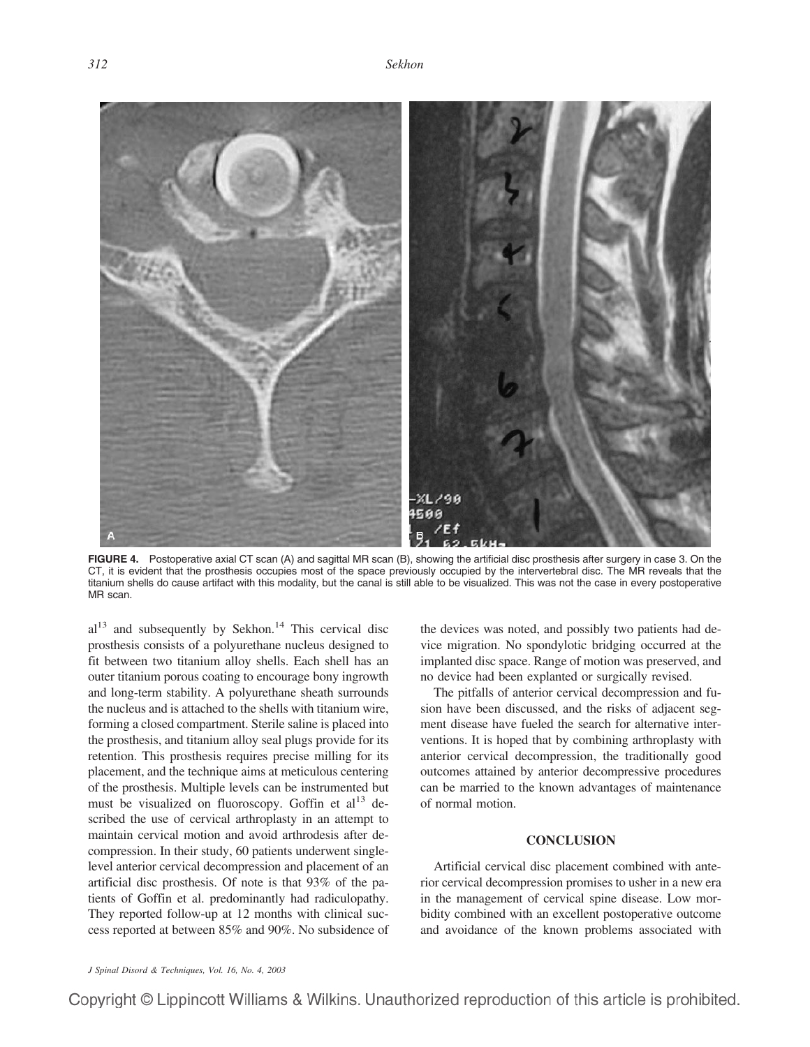

**FIGURE 4.** Postoperative axial CT scan (A) and sagittal MR scan (B), showing the artificial disc prosthesis after surgery in case 3. On the CT, it is evident that the prosthesis occupies most of the space previously occupied by the intervertebral disc. The MR reveals that the titanium shells do cause artifact with this modality, but the canal is still able to be visualized. This was not the case in every postoperative MR scan.

 $al<sup>13</sup>$  and subsequently by Sekhon.<sup>14</sup> This cervical disc prosthesis consists of a polyurethane nucleus designed to fit between two titanium alloy shells. Each shell has an outer titanium porous coating to encourage bony ingrowth and long-term stability. A polyurethane sheath surrounds the nucleus and is attached to the shells with titanium wire, forming a closed compartment. Sterile saline is placed into the prosthesis, and titanium alloy seal plugs provide for its retention. This prosthesis requires precise milling for its placement, and the technique aims at meticulous centering of the prosthesis. Multiple levels can be instrumented but must be visualized on fluoroscopy. Goffin et  $al<sup>13</sup>$  described the use of cervical arthroplasty in an attempt to maintain cervical motion and avoid arthrodesis after decompression. In their study, 60 patients underwent singlelevel anterior cervical decompression and placement of an artificial disc prosthesis. Of note is that 93% of the patients of Goffin et al. predominantly had radiculopathy. They reported follow-up at 12 months with clinical success reported at between 85% and 90%. No subsidence of

the devices was noted, and possibly two patients had device migration. No spondylotic bridging occurred at the implanted disc space. Range of motion was preserved, and no device had been explanted or surgically revised.

The pitfalls of anterior cervical decompression and fusion have been discussed, and the risks of adjacent segment disease have fueled the search for alternative interventions. It is hoped that by combining arthroplasty with anterior cervical decompression, the traditionally good outcomes attained by anterior decompressive procedures can be married to the known advantages of maintenance of normal motion.

# **CONCLUSION**

Artificial cervical disc placement combined with anterior cervical decompression promises to usher in a new era in the management of cervical spine disease. Low morbidity combined with an excellent postoperative outcome and avoidance of the known problems associated with

Copyright © Lippincott Williams & Wilkins. Unauthorized reproduction of this article is prohibited.